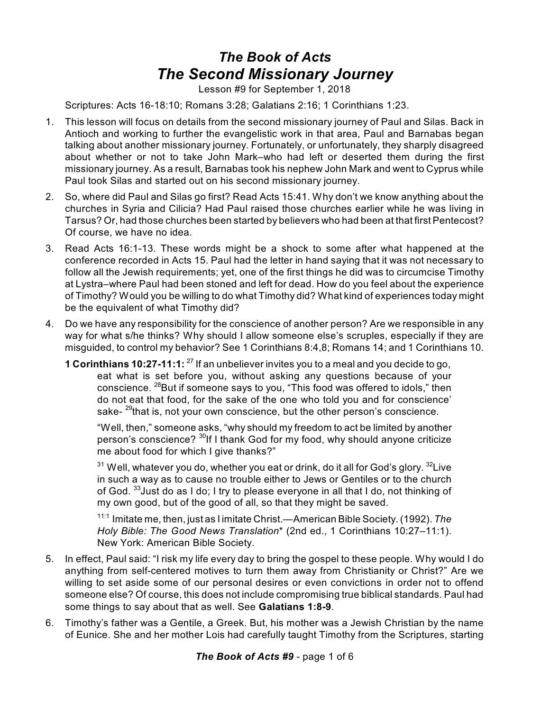## *The Book of Acts The Second Missionary Journey*

Lesson #9 for September 1, 2018

Scriptures: Acts 16-18:10; Romans 3:28; Galatians 2:16; 1 Corinthians 1:23.

- 1. This lesson will focus on details from the second missionary journey of Paul and Silas. Back in Antioch and working to further the evangelistic work in that area, Paul and Barnabas began talking about another missionary journey. Fortunately, or unfortunately, they sharply disagreed about whether or not to take John Mark–who had left or deserted them during the first missionary journey. As a result, Barnabas took his nephew John Mark and went to Cyprus while Paul took Silas and started out on his second missionary journey.
- 2. So, where did Paul and Silas go first? Read Acts 15:41. Why don't we know anything about the churches in Syria and Cilicia? Had Paul raised those churches earlier while he was living in Tarsus? Or, had those churches been started by believers who had been at that first Pentecost? Of course, we have no idea.
- 3. Read Acts 16:1-13. These words might be a shock to some after what happened at the conference recorded in Acts 15. Paul had the letter in hand saying that it was not necessary to follow all the Jewish requirements; yet, one of the first things he did was to circumcise Timothy at Lystra–where Paul had been stoned and left for dead. How do you feel about the experience of Timothy? Would you be willing to do what Timothy did? What kind of experiences today might be the equivalent of what Timothy did?
- 4. Do we have any responsibility for the conscience of another person? Are we responsible in any way for what s/he thinks? Why should I allow someone else's scruples, especially if they are misguided, to control my behavior? See 1 Corinthians 8:4,8; Romans 14; and 1 Corinthians 10.
	- **1 Corinthians 10:27-11:1:** <sup>27</sup> If an unbeliever invites you to a meal and you decide to go, eat what is set before you, without asking any questions because of your conscience. <sup>28</sup>But if someone says to you, "This food was offered to idols," then do not eat that food, for the sake of the one who told you and for conscience' sake-<sup>29</sup>that is, not your own conscience, but the other person's conscience.

"Well, then," someone asks, "why should my freedom to act be limited by another person's conscience? <sup>30</sup>If I thank God for my food, why should anyone criticize me about food for which I give thanks?"

 $^{\rm 31}$  Well, whatever you do, whether you eat or drink, do it all for God's glory.  $^{\rm 32}$ Live in such a way as to cause no trouble either to Jews or Gentiles or to the church of God.  $^{33}$ Just do as I do; I try to please everyone in all that I do, not thinking of my own good, but of the good of all, so that they might be saved.

11:1 Imitate me, then, just as I imitate Christ.—American Bible Society. (1992). *The Holy Bible: The Good News Translation*\* (2nd ed., 1 Corinthians 10:27–11:1). New York: American Bible Society.

- 5. In effect, Paul said: "I risk my life every day to bring the gospel to these people. Why would I do anything from self-centered motives to turn them away from Christianity or Christ?" Are we willing to set aside some of our personal desires or even convictions in order not to offend someone else? Of course, this does not include compromising true biblical standards. Paul had some things to say about that as well. See **Galatians 1:8-9**.
- 6. Timothy's father was a Gentile, a Greek. But, his mother was a Jewish Christian by the name of Eunice. She and her mother Lois had carefully taught Timothy from the Scriptures, starting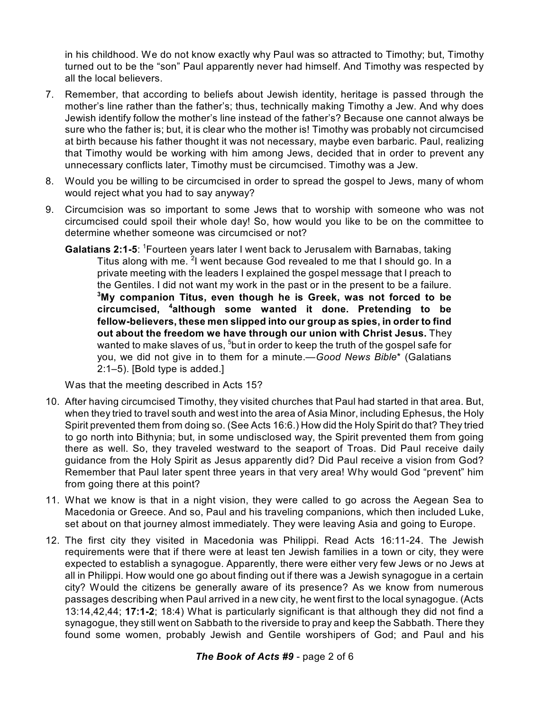in his childhood. We do not know exactly why Paul was so attracted to Timothy; but, Timothy turned out to be the "son" Paul apparently never had himself. And Timothy was respected by all the local believers.

- 7. Remember, that according to beliefs about Jewish identity, heritage is passed through the mother's line rather than the father's; thus, technically making Timothy a Jew. And why does Jewish identify follow the mother's line instead of the father's? Because one cannot always be sure who the father is; but, it is clear who the mother is! Timothy was probably not circumcised at birth because his father thought it was not necessary, maybe even barbaric. Paul, realizing that Timothy would be working with him among Jews, decided that in order to prevent any unnecessary conflicts later, Timothy must be circumcised. Timothy was a Jew.
- 8. Would you be willing to be circumcised in order to spread the gospel to Jews, many of whom would reject what you had to say anyway?
- 9. Circumcision was so important to some Jews that to worship with someone who was not circumcised could spoil their whole day! So, how would you like to be on the committee to determine whether someone was circumcised or not?
	- **Galatians 2:1-5:** <sup>1</sup>Fourteen years later I went back to Jerusalem with Barnabas, taking Titus along with me. <sup>2</sup>I went because God revealed to me that I should go. In a private meeting with the leaders I explained the gospel message that I preach to the Gentiles. I did not want my work in the past or in the present to be a failure. **<sup>3</sup>My companion Titus, even though he is Greek, was not forced to be circumcised, 4 although some wanted it done. Pretending to be fellow-believers, these men slipped into our group as spies, in order to find out about the freedom we have through our union with Christ Jesus.** They wanted to make slaves of us, <sup>5</sup>but in order to keep the truth of the gospel safe for you, we did not give in to them for a minute.—*Good News Bible*\* (Galatians 2:1–5). [Bold type is added.]

Was that the meeting described in Acts 15?

- 10. After having circumcised Timothy, they visited churches that Paul had started in that area. But, when they tried to travel south and west into the area of Asia Minor, including Ephesus, the Holy Spirit prevented them from doing so. (See Acts 16:6.) How did the Holy Spirit do that? They tried to go north into Bithynia; but, in some undisclosed way, the Spirit prevented them from going there as well. So, they traveled westward to the seaport of Troas. Did Paul receive daily guidance from the Holy Spirit as Jesus apparently did? Did Paul receive a vision from God? Remember that Paul later spent three years in that very area! Why would God "prevent" him from going there at this point?
- 11. What we know is that in a night vision, they were called to go across the Aegean Sea to Macedonia or Greece. And so, Paul and his traveling companions, which then included Luke, set about on that journey almost immediately. They were leaving Asia and going to Europe.
- 12. The first city they visited in Macedonia was Philippi. Read Acts 16:11-24. The Jewish requirements were that if there were at least ten Jewish families in a town or city, they were expected to establish a synagogue. Apparently, there were either very few Jews or no Jews at all in Philippi. How would one go about finding out if there was a Jewish synagogue in a certain city? Would the citizens be generally aware of its presence? As we know from numerous passages describing when Paul arrived in a new city, he went first to the local synagogue. (Acts 13:14,42,44; **17:1-2**; 18:4) What is particularly significant is that although they did not find a synagogue, they still went on Sabbath to the riverside to pray and keep the Sabbath. There they found some women, probably Jewish and Gentile worshipers of God; and Paul and his

## *The Book of Acts #9* - page 2 of 6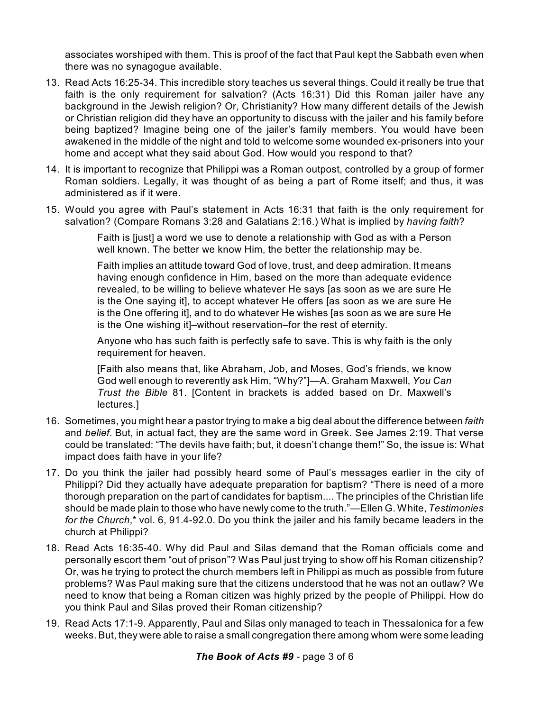associates worshiped with them. This is proof of the fact that Paul kept the Sabbath even when there was no synagogue available.

- 13. Read Acts 16:25-34. This incredible story teaches us several things. Could it really be true that faith is the only requirement for salvation? (Acts 16:31) Did this Roman jailer have any background in the Jewish religion? Or, Christianity? How many different details of the Jewish or Christian religion did they have an opportunity to discuss with the jailer and his family before being baptized? Imagine being one of the jailer's family members. You would have been awakened in the middle of the night and told to welcome some wounded ex-prisoners into your home and accept what they said about God. How would you respond to that?
- 14. It is important to recognize that Philippi was a Roman outpost, controlled by a group of former Roman soldiers. Legally, it was thought of as being a part of Rome itself; and thus, it was administered as if it were.
- 15. Would you agree with Paul's statement in Acts 16:31 that faith is the only requirement for salvation? (Compare Romans 3:28 and Galatians 2:16.) What is implied by *having faith*?

Faith is [just] a word we use to denote a relationship with God as with a Person well known. The better we know Him, the better the relationship may be.

Faith implies an attitude toward God of love, trust, and deep admiration. It means having enough confidence in Him, based on the more than adequate evidence revealed, to be willing to believe whatever He says [as soon as we are sure He is the One saying it], to accept whatever He offers [as soon as we are sure He is the One offering it], and to do whatever He wishes [as soon as we are sure He is the One wishing it]–without reservation–for the rest of eternity.

Anyone who has such faith is perfectly safe to save. This is why faith is the only requirement for heaven.

[Faith also means that, like Abraham, Job, and Moses, God's friends, we know God well enough to reverently ask Him, "Why?"]—A. Graham Maxwell, *You Can Trust the Bible* 81. [Content in brackets is added based on Dr. Maxwell's lectures.]

- 16. Sometimes, you might hear a pastor trying to make a big deal about the difference between *faith* and *belief*. But, in actual fact, they are the same word in Greek. See James 2:19. That verse could be translated: "The devils have faith; but, it doesn't change them!" So, the issue is: What impact does faith have in your life?
- 17. Do you think the jailer had possibly heard some of Paul's messages earlier in the city of Philippi? Did they actually have adequate preparation for baptism? "There is need of a more thorough preparation on the part of candidates for baptism.... The principles of the Christian life should be made plain to those who have newly come to the truth."—Ellen G. White, *Testimonies for the Church*,\* vol. 6, 91.4-92.0. Do you think the jailer and his family became leaders in the church at Philippi?
- 18. Read Acts 16:35-40. Why did Paul and Silas demand that the Roman officials come and personally escort them "out of prison"? Was Paul just trying to show off his Roman citizenship? Or, was he trying to protect the church members left in Philippi as much as possible from future problems? Was Paul making sure that the citizens understood that he was not an outlaw? We need to know that being a Roman citizen was highly prized by the people of Philippi. How do you think Paul and Silas proved their Roman citizenship?
- 19. Read Acts 17:1-9. Apparently, Paul and Silas only managed to teach in Thessalonica for a few weeks. But, they were able to raise a small congregation there among whom were some leading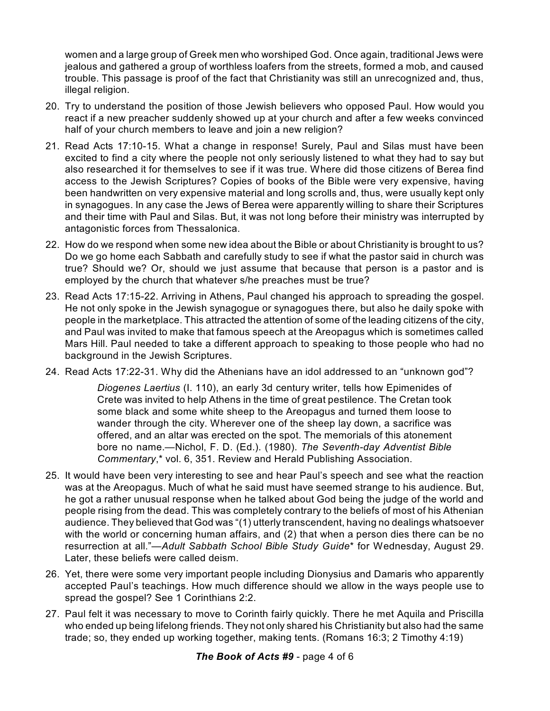women and a large group of Greek men who worshiped God. Once again, traditional Jews were jealous and gathered a group of worthless loafers from the streets, formed a mob, and caused trouble. This passage is proof of the fact that Christianity was still an unrecognized and, thus, illegal religion.

- 20. Try to understand the position of those Jewish believers who opposed Paul. How would you react if a new preacher suddenly showed up at your church and after a few weeks convinced half of your church members to leave and join a new religion?
- 21. Read Acts 17:10-15. What a change in response! Surely, Paul and Silas must have been excited to find a city where the people not only seriously listened to what they had to say but also researched it for themselves to see if it was true. Where did those citizens of Berea find access to the Jewish Scriptures? Copies of books of the Bible were very expensive, having been handwritten on very expensive material and long scrolls and, thus, were usually kept only in synagogues. In any case the Jews of Berea were apparently willing to share their Scriptures and their time with Paul and Silas. But, it was not long before their ministry was interrupted by antagonistic forces from Thessalonica.
- 22. How do we respond when some new idea about the Bible or about Christianity is brought to us? Do we go home each Sabbath and carefully study to see if what the pastor said in church was true? Should we? Or, should we just assume that because that person is a pastor and is employed by the church that whatever s/he preaches must be true?
- 23. Read Acts 17:15-22. Arriving in Athens, Paul changed his approach to spreading the gospel. He not only spoke in the Jewish synagogue or synagogues there, but also he daily spoke with people in the marketplace. This attracted the attention of some of the leading citizens of the city, and Paul was invited to make that famous speech at the Areopagus which is sometimes called Mars Hill. Paul needed to take a different approach to speaking to those people who had no background in the Jewish Scriptures.
- 24. Read Acts 17:22-31. Why did the Athenians have an idol addressed to an "unknown god"?

*Diogenes Laertius* (I. 110), an early 3d century writer, tells how Epimenides of Crete was invited to help Athens in the time of great pestilence. The Cretan took some black and some white sheep to the Areopagus and turned them loose to wander through the city. Wherever one of the sheep lay down, a sacrifice was offered, and an altar was erected on the spot. The memorials of this atonement bore no name.—Nichol, F. D. (Ed.). (1980). *The Seventh-day Adventist Bible Commentary*,\* vol. 6, 351. Review and Herald Publishing Association.

- 25. It would have been very interesting to see and hear Paul's speech and see what the reaction was at the Areopagus. Much of what he said must have seemed strange to his audience. But, he got a rather unusual response when he talked about God being the judge of the world and people rising from the dead. This was completely contrary to the beliefs of most of his Athenian audience. They believed that God was "(1) utterly transcendent, having no dealings whatsoever with the world or concerning human affairs, and (2) that when a person dies there can be no resurrection at all."—*Adult Sabbath School Bible Study Guide*\* for Wednesday, August 29. Later, these beliefs were called deism.
- 26. Yet, there were some very important people including Dionysius and Damaris who apparently accepted Paul's teachings. How much difference should we allow in the ways people use to spread the gospel? See 1 Corinthians 2:2.
- 27. Paul felt it was necessary to move to Corinth fairly quickly. There he met Aquila and Priscilla who ended up being lifelong friends. They not only shared his Christianity but also had the same trade; so, they ended up working together, making tents. (Romans 16:3; 2 Timothy 4:19)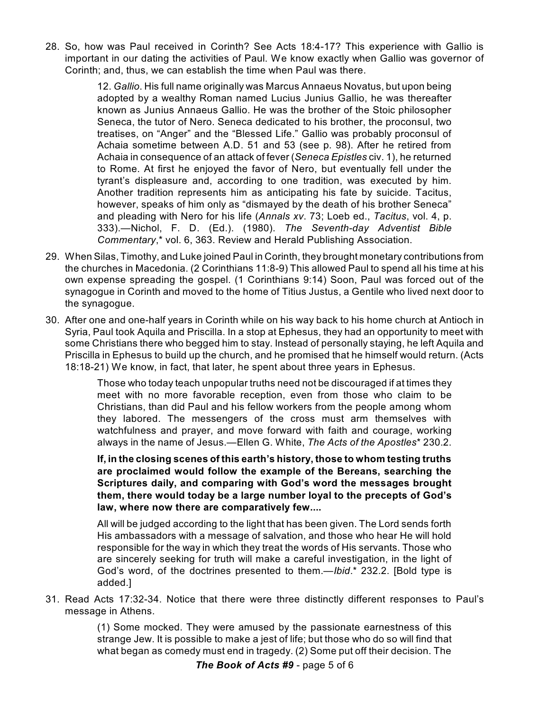28. So, how was Paul received in Corinth? See Acts 18:4-17? This experience with Gallio is important in our dating the activities of Paul. We know exactly when Gallio was governor of Corinth; and, thus, we can establish the time when Paul was there.

> 12. *Gallio*. His full name originally was Marcus Annaeus Novatus, but upon being adopted by a wealthy Roman named Lucius Junius Gallio, he was thereafter known as Junius Annaeus Gallio. He was the brother of the Stoic philosopher Seneca, the tutor of Nero. Seneca dedicated to his brother, the proconsul, two treatises, on "Anger" and the "Blessed Life." Gallio was probably proconsul of Achaia sometime between A.D. 51 and 53 (see p. 98). After he retired from Achaia in consequence of an attack of fever (*Seneca Epistles* civ. 1), he returned to Rome. At first he enjoyed the favor of Nero, but eventually fell under the tyrant's displeasure and, according to one tradition, was executed by him. Another tradition represents him as anticipating his fate by suicide. Tacitus, however, speaks of him only as "dismayed by the death of his brother Seneca" and pleading with Nero for his life (*Annals xv*. 73; Loeb ed., *Tacitus*, vol. 4, p. 333).—Nichol, F. D. (Ed.). (1980). *The Seventh-day Adventist Bible Commentary*,\* vol. 6, 363. Review and Herald Publishing Association.

- 29. When Silas, Timothy, and Luke joined Paul in Corinth, they brought monetary contributions from the churches in Macedonia. (2 Corinthians 11:8-9) This allowed Paul to spend all his time at his own expense spreading the gospel. (1 Corinthians 9:14) Soon, Paul was forced out of the synagogue in Corinth and moved to the home of Titius Justus, a Gentile who lived next door to the synagogue.
- 30. After one and one-half years in Corinth while on his way back to his home church at Antioch in Syria, Paul took Aquila and Priscilla. In a stop at Ephesus, they had an opportunity to meet with some Christians there who begged him to stay. Instead of personally staying, he left Aquila and Priscilla in Ephesus to build up the church, and he promised that he himself would return. (Acts 18:18-21) We know, in fact, that later, he spent about three years in Ephesus.

Those who today teach unpopular truths need not be discouraged if at times they meet with no more favorable reception, even from those who claim to be Christians, than did Paul and his fellow workers from the people among whom they labored. The messengers of the cross must arm themselves with watchfulness and prayer, and move forward with faith and courage, working always in the name of Jesus.—Ellen G. White, *The Acts of the Apostles*\* 230.2.

**If, in the closing scenes of this earth's history, those to whom testing truths are proclaimed would follow the example of the Bereans, searching the Scriptures daily, and comparing with God's word the messages brought them, there would today be a large number loyal to the precepts of God's law, where now there are comparatively few....**

All will be judged according to the light that has been given. The Lord sends forth His ambassadors with a message of salvation, and those who hear He will hold responsible for the way in which they treat the words of His servants. Those who are sincerely seeking for truth will make a careful investigation, in the light of God's word, of the doctrines presented to them.—*Ibid*.\* 232.2. [Bold type is added.]

31. Read Acts 17:32-34. Notice that there were three distinctly different responses to Paul's message in Athens.

> (1) Some mocked. They were amused by the passionate earnestness of this strange Jew. It is possible to make a jest of life; but those who do so will find that what began as comedy must end in tragedy. (2) Some put off their decision. The